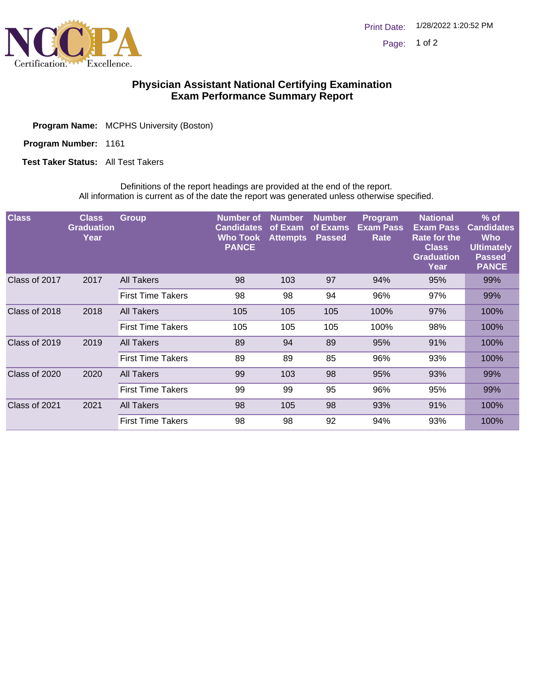

## **Physician Assistant National Certifying Examination Exam Performance Summary Report**

| <b>Program Name:</b> MCPHS University (Boston) |  |
|------------------------------------------------|--|
|                                                |  |

Program Number: 1161

**Test Taker Status:** All Test Takers

Definitions of the report headings are provided at the end of the report. All information is current as of the date the report was generated unless otherwise specified.

| <b>Class</b>          | <b>Class</b><br><b>Graduation</b><br>Year | Group                    | Number of<br><b>Candidates</b><br><b>Who Took</b><br><b>PANCE</b> | <b>Number</b><br>of Exam<br><b>Attempts</b> | <b>Number</b><br>of Exams<br>Passed | <b>Program</b><br><b>Exam Pass</b><br>Rate | <b>National</b><br><b>Exam Pass</b><br><b>Rate for the</b><br><b>Class</b><br><b>Graduation</b><br>Year | $%$ of<br><b>Candidates</b><br><b>Who</b><br><b>Ultimately</b><br><b>Passed</b><br><b>PANCE</b> |
|-----------------------|-------------------------------------------|--------------------------|-------------------------------------------------------------------|---------------------------------------------|-------------------------------------|--------------------------------------------|---------------------------------------------------------------------------------------------------------|-------------------------------------------------------------------------------------------------|
| Class of 2017<br>2017 |                                           | <b>All Takers</b>        | 98                                                                | 103                                         | 97                                  | 94%                                        | 95%                                                                                                     | 99%                                                                                             |
|                       |                                           | <b>First Time Takers</b> | 98                                                                | 98                                          | 94                                  | 96%                                        | 97%                                                                                                     | 99%                                                                                             |
| Class of 2018         | 2018                                      | All Takers               | 105                                                               | 105                                         | 105                                 | 100%                                       | 97%                                                                                                     | 100%                                                                                            |
|                       |                                           | <b>First Time Takers</b> | 105                                                               | 105                                         | 105                                 | 100%                                       | 98%                                                                                                     | 100%                                                                                            |
| Class of 2019         | 2019                                      | All Takers               | 89                                                                | 94                                          | 89                                  | 95%                                        | 91%                                                                                                     | 100%                                                                                            |
|                       |                                           | <b>First Time Takers</b> | 89                                                                | 89                                          | 85                                  | 96%                                        | 93%                                                                                                     | 100%                                                                                            |
| Class of 2020         | 2020                                      | All Takers               | 99                                                                | 103                                         | 98                                  | 95%                                        | 93%                                                                                                     | 99%                                                                                             |
|                       |                                           | <b>First Time Takers</b> | 99                                                                | 99                                          | 95                                  | 96%                                        | 95%                                                                                                     | 99%                                                                                             |
| Class of 2021         | 2021                                      | <b>All Takers</b>        | 98                                                                | 105                                         | 98                                  | 93%                                        | 91%                                                                                                     | 100%                                                                                            |
|                       |                                           | <b>First Time Takers</b> | 98                                                                | 98                                          | 92                                  | 94%                                        | 93%                                                                                                     | 100%                                                                                            |